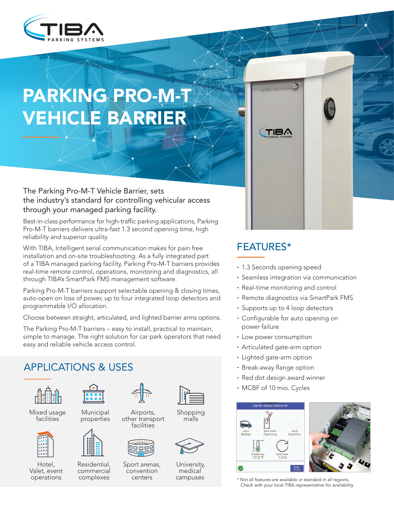

# PARKING PRO-M-T **VEHICLE BARRIER**

The Parking Pro-M-T Vehicle Barrier, sets the industry's standard for controlling vehicular access through your managed parking facility.

Best-in-class performance for high-traffic parking applications, Parking Pro-M-T barriers delivers ultra-fast 1.3 second opening time, high reliability and superior quality.

With TIBA, Intelligent serial communication makes for pain free installation and on-site troubleshooting. As a fully integrated part of a TIBA managed parking facility, Parking Pro-M-T barriers provides real-time remote control, operations, monitoring and diagnostics, all through TIBA's SmartPark FMS management software.

Parking Pro-M-T barriers support selectable opening & closing times, auto-open on loss of power, up to four integrated loop detectors and programmable I/O allocation.

Choose between straight, articulated, and lighted barrier arms options.

The Parking Pro-M-T barriers – easy to install, practical to maintain, simple to manage. The right solution for car park operators that need easy and reliable vehicle access control.

# **APPLICATIONS & USES**



Mixed usage **facilities** 



Hotel, Valet, event operations



 Municipal properties



Residential. commercial complexes



Airports, other transport facilities



Sport arenas, convention centers



 Shopping malls



University, medical campuses





• 1.3 Seconds opening speed

**TM** MicroDrive

TIBA

- Seamless integration via communication
- Real-time monitoring and control
- Remote diagnostics via SmartPark FMS
- Supports up to 4 loop detectors
- Configurable for auto opening on power failure
- Low power consumption
- Articulated gate-arm option
- Lighted gate-arm option
- Break-away flange option
- Red dot design award winner
- MCBF of 10 mio. Cycles



\* Not all features are available or standard in all regions. Check with your local TIBA representative for availability.